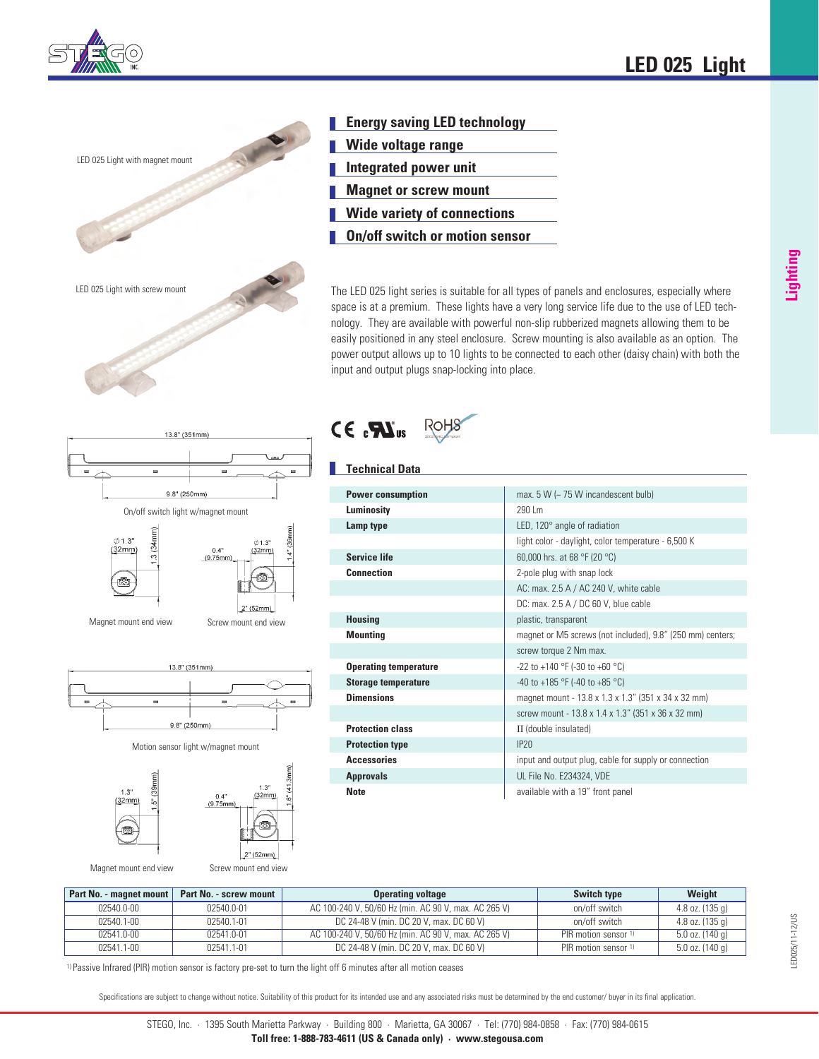



- **Energy saving LED technology**
- **Wide voltage range**
- **I** Integrated power unit
- **Magnet or screw mount**
- **Wide variety of connections**
- **On/off switch or motion sensor**

The LED 025 light series is suitable for all types of panels and enclosures, especially where space is at a premium. These lights have a very long service life due to the use of LED technology. They are available with powerful non-slip rubberized magnets allowing them to be easily positioned in any steel enclosure. Screw mounting is also available as an option. The power output allows up to 10 lights to be connected to each other (daisy chain) with both the input and output plugs snap-locking into place.



 $\phi$ 1.3"  $0.13$  $3(34n$  $(32mm)$  $0.4"$ <br>(9.75mm) ▧ ▧  $2<sup>n</sup> (52mm)$ 

Screw mount end view

13.8" (351mm)







Magnet mount end view

 $1.3'$ 

 $(32mm)$ 

िं

Magnet mount end view

Screw mount end view

 $\mathbf{Z}$  ( $\mathbf{R}$  ,  $\mathbf{S}$ )

# **Technical Data**

| <b>Power consumption</b>     | max. $5 W$ ( $\sim$ 75 W incandescent bulb)                |
|------------------------------|------------------------------------------------------------|
| Luminosity                   | 290 Lm                                                     |
| Lamp type                    | LED, $120^\circ$ angle of radiation                        |
|                              | light color - daylight, color temperature - 6,500 K        |
| <b>Service life</b>          | 60,000 hrs. at 68 °F (20 °C)                               |
| <b>Connection</b>            | 2-pole plug with snap lock                                 |
|                              | AC: max. 2.5 A / AC 240 V, white cable                     |
|                              | DC: max. $2.5 A / DC 60 V$ , blue cable                    |
| <b>Housing</b>               | plastic, transparent                                       |
| <b>Mounting</b>              | magnet or M5 screws (not included), 9.8" (250 mm) centers; |
|                              | screw torque 2 Nm max.                                     |
| <b>Operating temperature</b> | -22 to +140 °F (-30 to +60 °C)                             |
| <b>Storage temperature</b>   | -40 to +185 °F (-40 to +85 °C)                             |
| <b>Dimensions</b>            | magnet mount - 13.8 x 1.3 x 1.3" (351 x 34 x 32 mm)        |
|                              | screw mount - 13.8 x 1.4 x 1.3" (351 x 36 x 32 mm)         |
| <b>Protection class</b>      | II (double insulated)                                      |
| <b>Protection type</b>       | IP20                                                       |
| <b>Accessories</b>           | input and output plug, cable for supply or connection      |
| <b>Approvals</b>             | UL File No. E234324, VDE                                   |
| <b>Note</b>                  | available with a 19" front panel                           |

| Part No. - magnet mount | Part No. - screw mount | <b>Operating voltage</b>                             | <b>Switch type</b>              | Weight            |
|-------------------------|------------------------|------------------------------------------------------|---------------------------------|-------------------|
| 02540.0-00              | 02540.0-01             | AC 100-240 V, 50/60 Hz (min. AC 90 V, max. AC 265 V) | on/off switch                   | 4.8 oz. $(135 g)$ |
| 02540.1-00              | 02540.1-01             | DC 24-48 V (min. DC 20 V, max. DC 60 V)              | on/off switch                   | 4.8 oz. $(135 g)$ |
| 02541.0-00              | 02541.0-01             | AC 100-240 V, 50/60 Hz (min. AC 90 V, max. AC 265 V) | PIR motion sensor <sup>1)</sup> | $5.0$ oz. (140 g) |
| $02541.1 - 00$          | 02541.1-01             | DC 24-48 V (min. DC 20 V, max. DC 60 V)              | PIR motion sensor 1)            | $5.0$ oz. (140 g) |

**Lighting**

1) Passive Infrared (PIR) motion sensor is factory pre-set to turn the light off 6 minutes after all motion ceases

Specifications are subject to change without notice. Suitability of this product for its intended use and any associated risks must be determined by the end customer/ buyer in its final application.